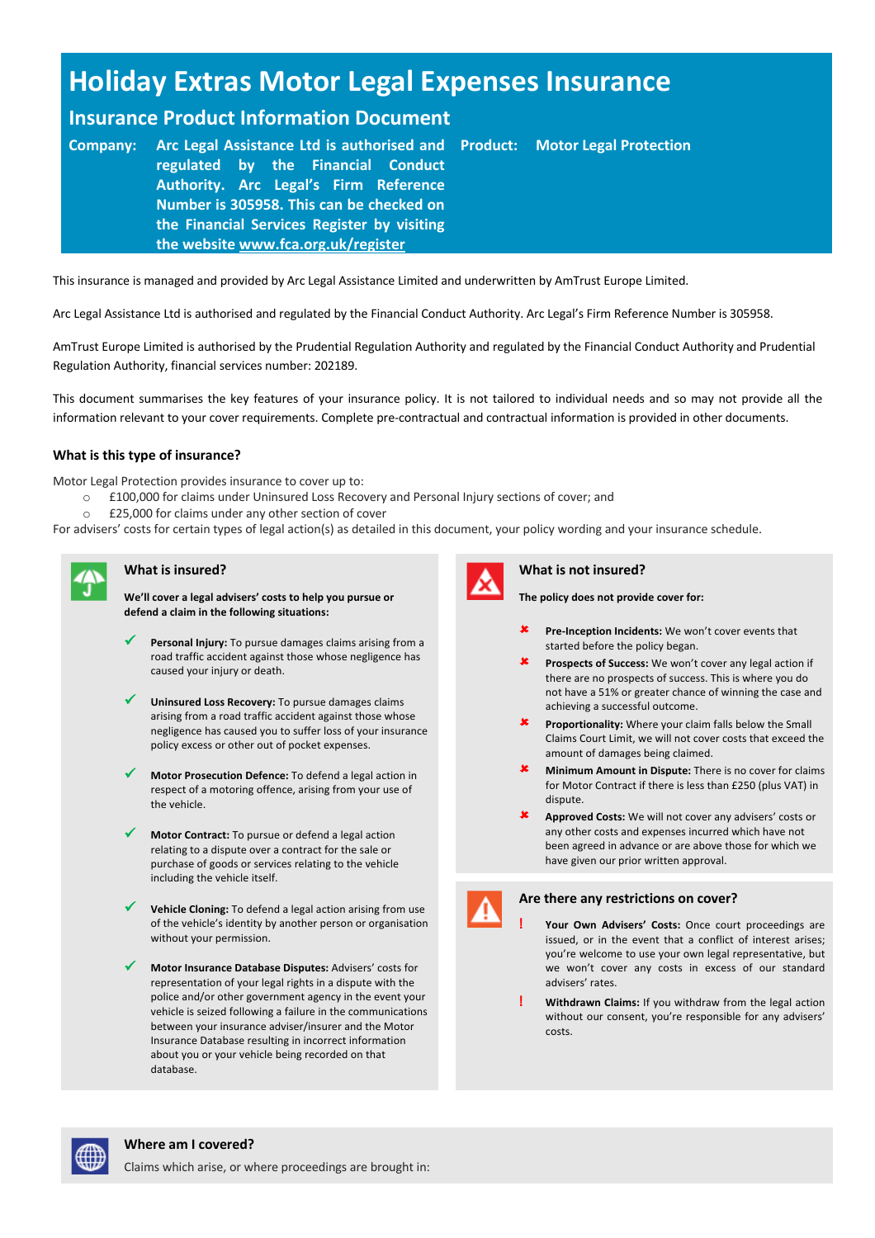# **Holiday Extras Motor Legal Expenses Insurance**

## **Insurance Product Information Document**

**Company: Arc Legal Assistance Ltd is authorised and regulated by the Financial Conduct Authority. Arc Legal's Firm Reference Number is 305958. This can be checked on the Financial Services Register by visiting the website www.fca.org.uk/register Motor Legal Protection** 

This insurance is managed and provided by Arc Legal Assistance Limited and underwritten by AmTrust Europe Limited.

Arc Legal Assistance Ltd is authorised and regulated by the Financial Conduct Authority. Arc Legal's Firm Reference Number is 305958.

AmTrust Europe Limited is authorised by the Prudential Regulation Authority and regulated by the Financial Conduct Authority and Prudential Regulation Authority, financial services number: 202189.

This document summarises the key features of your insurance policy. It is not tailored to individual needs and so may not provide all the information relevant to your cover requirements. Complete pre-contractual and contractual information is provided in other documents.

### **What is this type of insurance?**

Motor Legal Protection provides insurance to cover up to:

- o £100,000 for claims under Uninsured Loss Recovery and Personal Injury sections of cover; and
- o £25,000 for claims under any other section of cover

For advisers' costs for certain types of legal action(s) as detailed in this document, your policy wording and your insurance schedule.



### **What is insured?**

**We'll cover a legal advisers' costs to help you pursue or defend a claim in the following situations:**

- **V** Personal Injury: To pursue damages claims arising from a road traffic accident against those whose negligence has caused your injury or death.
- Uninsured Loss Recovery: To pursue damages claims arising from a road traffic accident against those whose negligence has caused you to suffer loss of your insurance policy excess or other out of pocket expenses.
- ü **Motor Prosecution Defence:** To defend a legal action in respect of a motoring offence, arising from your use of the vehicle.
- Motor Contract: To pursue or defend a legal action relating to a dispute over a contract for the sale or purchase of goods or services relating to the vehicle including the vehicle itself.
- Vehicle Cloning: To defend a legal action arising from use of the vehicle's identity by another person or organisation without your permission.
- ü **Motor Insurance Database Disputes:** Advisers' costs for representation of your legal rights in a dispute with the police and/or other government agency in the event your vehicle is seized following a failure in the communications between your insurance adviser/insurer and the Motor Insurance Database resulting in incorrect information about you or your vehicle being recorded on that database.



### **What is not insured?**

**The policy does not provide cover for:**

- **\*** Pre-Inception Incidents: We won't cover events that started before the policy began.
- û **Prospects of Success:** We won't cover any legal action if there are no prospects of success. This is where you do not have a 51% or greater chance of winning the case and achieving a successful outcome.
- **x** Proportionality: Where your claim falls below the Small Claims Court Limit, we will not cover costs that exceed the amount of damages being claimed.
- û **Minimum Amount in Dispute:** There is no cover for claims for Motor Contract if there is less than £250 (plus VAT) in dispute.
- û **Approved Costs:** We will not cover any advisers' costs or any other costs and expenses incurred which have not been agreed in advance or are above those for which we have given our prior written approval.



### **Are there any restrictions on cover?**

- **! Your Own Advisers' Costs:** Once court proceedings are issued, or in the event that a conflict of interest arises; you're welcome to use your own legal representative, but we won't cover any costs in excess of our standard advisers' rates.
- **! Withdrawn Claims:** If you withdraw from the legal action without our consent, you're responsible for any advisers' costs.

### **Where am I covered?**

Claims which arise, or where proceedings are brought in: